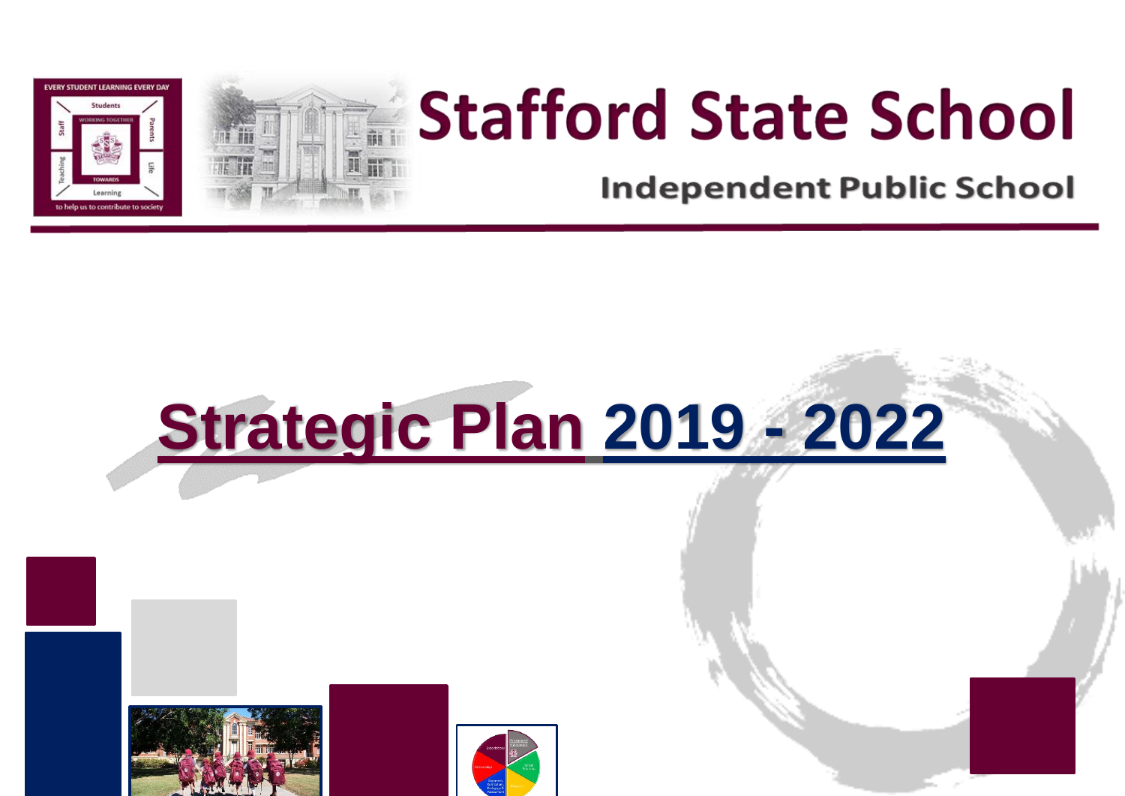

## **Stafford State School**

**Independent Public School** 

# **Strategic Plan 2019 - 2022**



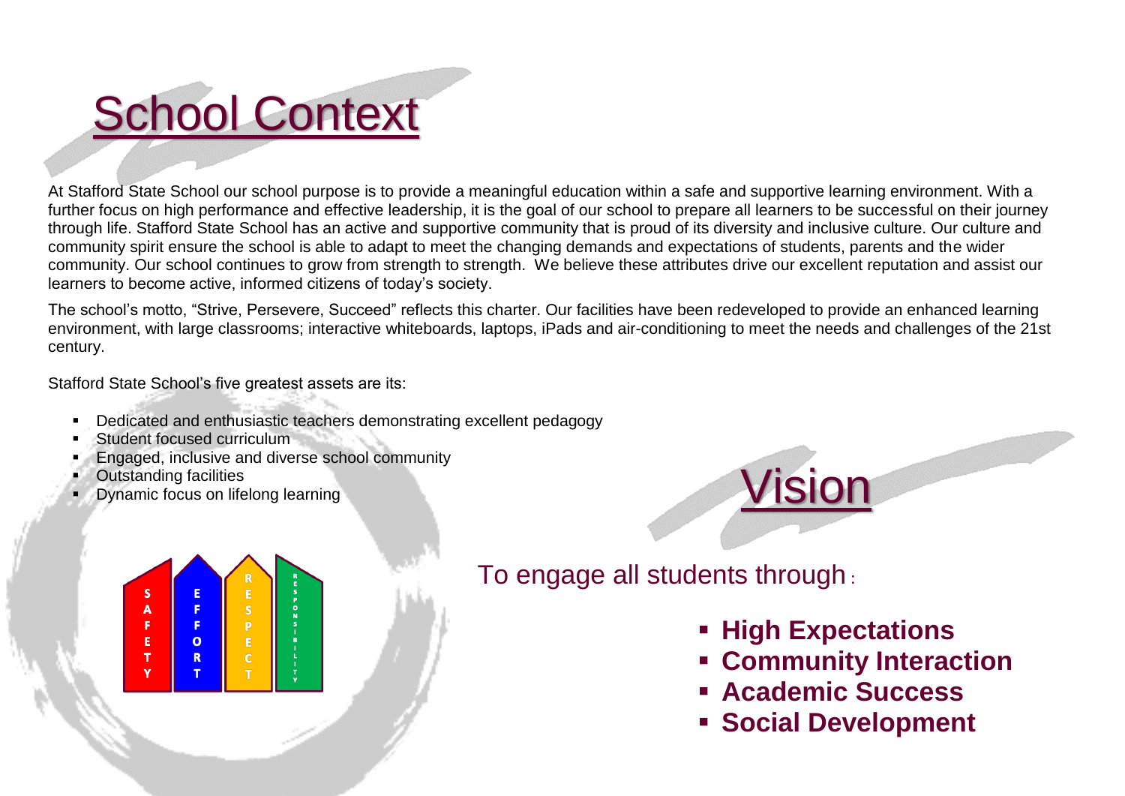### **School Context**

At Stafford State School our school purpose is to provide a meaningful education within a safe and supportive learning environment. With a further focus on high performance and effective leadership, it is the goal of our school to prepare all learners to be successful on their journey through life. Stafford State School has an active and supportive community that is proud of its diversity and inclusive culture. Our culture and community spirit ensure the school is able to adapt to meet the changing demands and expectations of students, parents and the wider community. Our school continues to grow from strength to strength. We believe these attributes drive our excellent reputation and assist our learners to become active, informed citizens of today's society.

The school's motto, "Strive, Persevere, Succeed" reflects this charter. Our facilities have been redeveloped to provide an enhanced learning environment, with large classrooms; interactive whiteboards, laptops, iPads and air-conditioning to meet the needs and challenges of the 21st century.

Stafford State School's five greatest assets are its:

- **-** Dedicated and enthusiastic teachers demonstrating excellent pedagogy
- Student focused curriculum
- Engaged, inclusive and diverse school community
- Outstanding facilities
- Dynamic focus on lifelong learning





To engage all students through :

- **High Expectations**
- **Community Interaction**
- **Academic Success**
- **Social Development**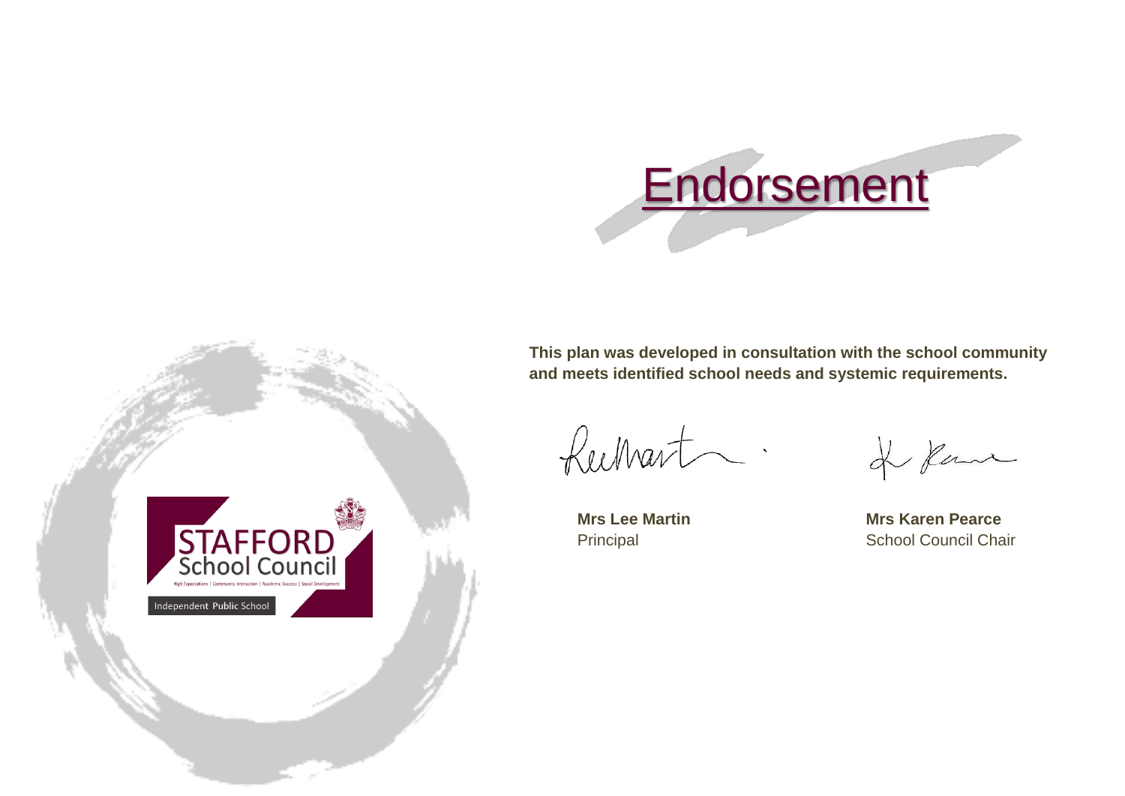

STAFFORD Independent Public School

**This plan was developed in consultation with the school community and meets identified school needs and systemic requirements.**

Rechart.

Rane

**Mrs Lee Martin Mrs Karen Pearce** Principal School Council Chair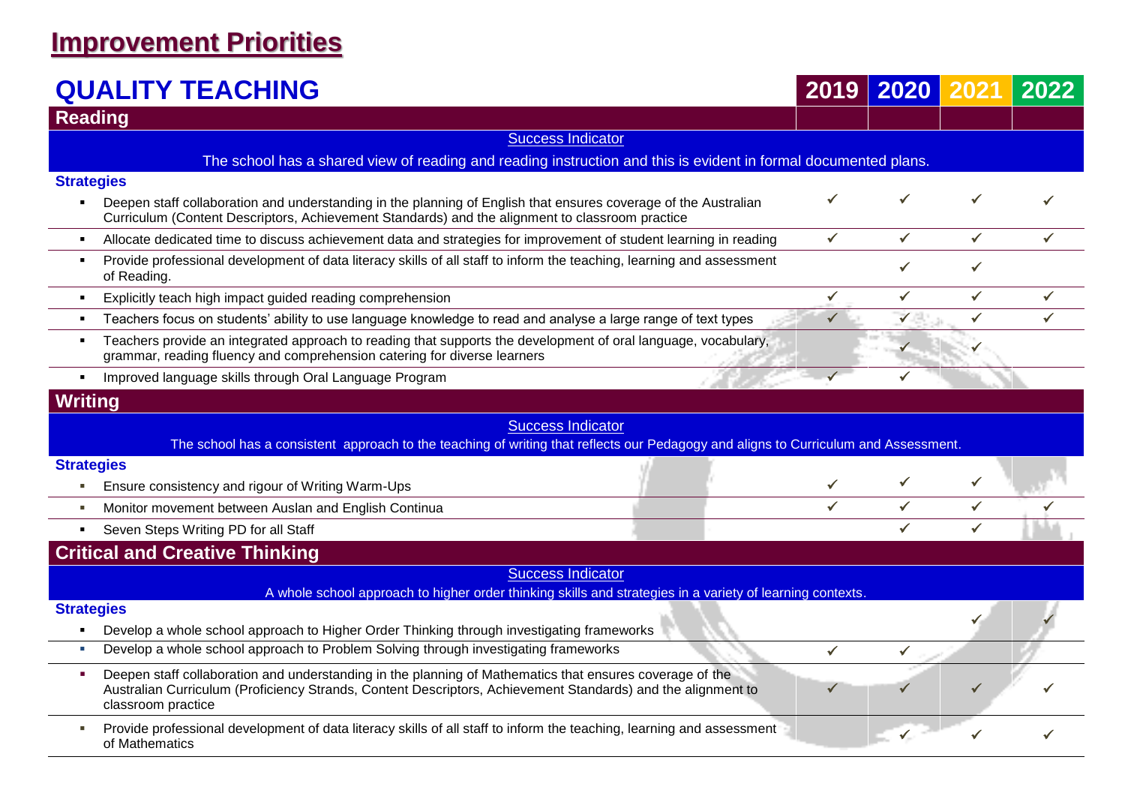#### **Improvement Priorities**

#### **QUALITY TEACHING 2019 2020 2021 2022**

| VALI I I<br>TENVITINY                                                                                                                                                                                                                               |              |              |              |   |
|-----------------------------------------------------------------------------------------------------------------------------------------------------------------------------------------------------------------------------------------------------|--------------|--------------|--------------|---|
| <b>Reading</b>                                                                                                                                                                                                                                      |              |              |              |   |
| <b>Success Indicator</b>                                                                                                                                                                                                                            |              |              |              |   |
| The school has a shared view of reading and reading instruction and this is evident in formal documented plans.                                                                                                                                     |              |              |              |   |
| <b>Strategies</b>                                                                                                                                                                                                                                   |              |              |              |   |
| Deepen staff collaboration and understanding in the planning of English that ensures coverage of the Australian<br>$\blacksquare$<br>Curriculum (Content Descriptors, Achievement Standards) and the alignment to classroom practice                |              |              |              |   |
| Allocate dedicated time to discuss achievement data and strategies for improvement of student learning in reading<br>$\blacksquare$                                                                                                                 | ✓            | $\checkmark$ | $\checkmark$ | ✓ |
| Provide professional development of data literacy skills of all staff to inform the teaching, learning and assessment<br>٠<br>of Reading.                                                                                                           |              |              | ✓            |   |
| Explicitly teach high impact guided reading comprehension<br>٠                                                                                                                                                                                      | $\checkmark$ | ✓            | $\checkmark$ | ✓ |
| Teachers focus on students' ability to use language knowledge to read and analyse a large range of text types<br>$\blacksquare$                                                                                                                     |              | $\checkmark$ | ✓            |   |
| Teachers provide an integrated approach to reading that supports the development of oral language, vocabulary,<br>٠<br>grammar, reading fluency and comprehension catering for diverse learners                                                     |              |              |              |   |
| Improved language skills through Oral Language Program<br>$\blacksquare$                                                                                                                                                                            |              |              |              |   |
| <b>Writing</b>                                                                                                                                                                                                                                      |              |              |              |   |
| <b>Success Indicator</b>                                                                                                                                                                                                                            |              |              |              |   |
| The school has a consistent approach to the teaching of writing that reflects our Pedagogy and aligns to Curriculum and Assessment.                                                                                                                 |              |              |              |   |
| <b>Strategies</b>                                                                                                                                                                                                                                   |              |              |              |   |
| Ensure consistency and rigour of Writing Warm-Ups<br>ш                                                                                                                                                                                              |              |              |              |   |
| Monitor movement between Auslan and English Continua<br>$\blacksquare$                                                                                                                                                                              |              |              | ✓            |   |
| Seven Steps Writing PD for all Staff                                                                                                                                                                                                                |              |              | ✓            |   |
| <b>Critical and Creative Thinking</b>                                                                                                                                                                                                               |              |              |              |   |
| <b>Success Indicator</b>                                                                                                                                                                                                                            |              |              |              |   |
| A whole school approach to higher order thinking skills and strategies in a variety of learning contexts.                                                                                                                                           |              |              |              |   |
| <b>Strategies</b>                                                                                                                                                                                                                                   |              |              |              |   |
| Develop a whole school approach to Higher Order Thinking through investigating frameworks                                                                                                                                                           |              |              |              |   |
| Develop a whole school approach to Problem Solving through investigating frameworks<br>a.                                                                                                                                                           |              |              |              |   |
| Deepen staff collaboration and understanding in the planning of Mathematics that ensures coverage of the<br>٠<br>Australian Curriculum (Proficiency Strands, Content Descriptors, Achievement Standards) and the alignment to<br>classroom practice |              |              |              |   |
| Provide professional development of data literacy skills of all staff to inform the teaching, learning and assessment<br>of Mathematics                                                                                                             |              |              |              |   |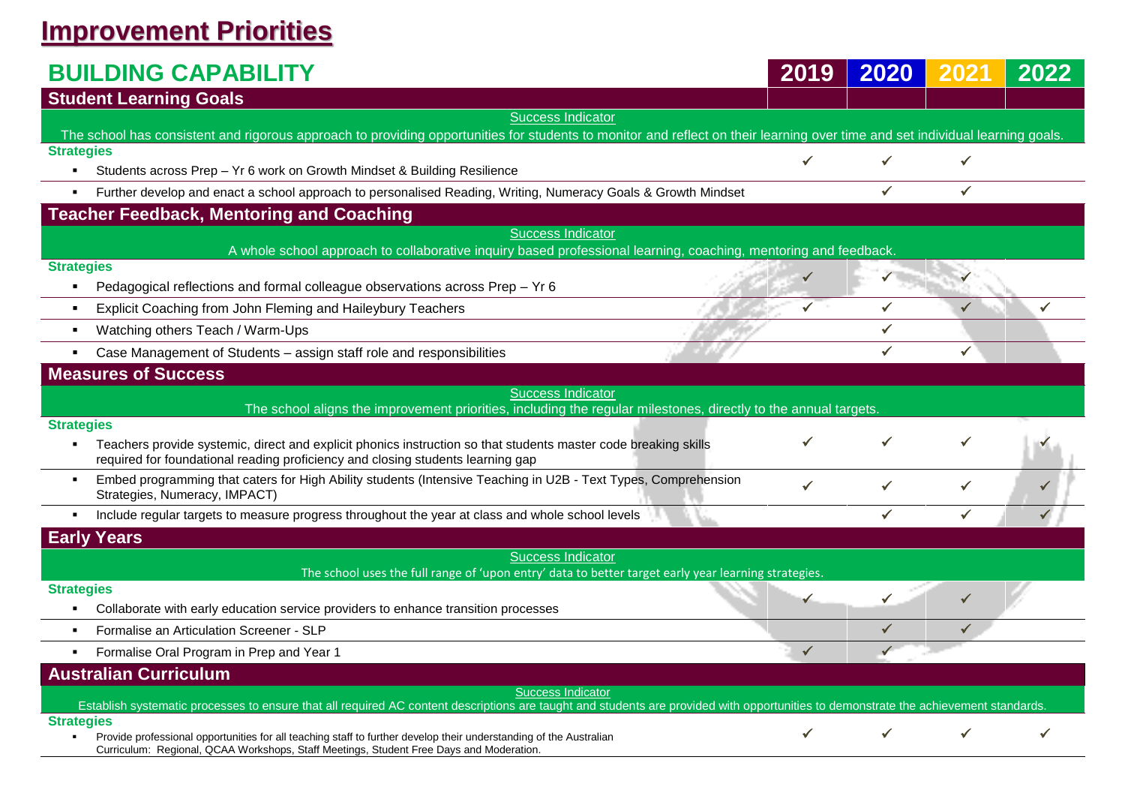### **Improvement Priorities**

| <b>BUILDING CAPABILITY</b>                                                                                                                                                                                                                | 2019         | 2020         | 2021         | 2022         |
|-------------------------------------------------------------------------------------------------------------------------------------------------------------------------------------------------------------------------------------------|--------------|--------------|--------------|--------------|
| <b>Student Learning Goals</b>                                                                                                                                                                                                             |              |              |              |              |
| <b>Success Indicator</b>                                                                                                                                                                                                                  |              |              |              |              |
| The school has consistent and rigorous approach to providing opportunities for students to monitor and reflect on their learning over time and set individual learning goals.                                                             |              |              |              |              |
| <b>Strategies</b><br>Students across Prep - Yr 6 work on Growth Mindset & Building Resilience<br>$\blacksquare$                                                                                                                           |              | $\checkmark$ | $\checkmark$ |              |
| Further develop and enact a school approach to personalised Reading, Writing, Numeracy Goals & Growth Mindset                                                                                                                             |              | $\checkmark$ | $\checkmark$ |              |
| <b>Teacher Feedback, Mentoring and Coaching</b>                                                                                                                                                                                           |              |              |              |              |
| <b>Success Indicator</b>                                                                                                                                                                                                                  |              |              |              |              |
| A whole school approach to collaborative inquiry based professional learning, coaching, mentoring and feedback.                                                                                                                           |              |              |              |              |
| <b>Strategies</b><br>Pedagogical reflections and formal colleague observations across Prep - Yr 6<br>$\blacksquare$                                                                                                                       |              |              |              |              |
| Explicit Coaching from John Fleming and Haileybury Teachers<br>$\blacksquare$                                                                                                                                                             | ✓            | ✓            |              | $\checkmark$ |
| Watching others Teach / Warm-Ups                                                                                                                                                                                                          |              | ✓            |              |              |
| Case Management of Students - assign staff role and responsibilities                                                                                                                                                                      |              | ✓            |              |              |
| <b>Measures of Success</b>                                                                                                                                                                                                                |              |              |              |              |
| <b>Success Indicator</b>                                                                                                                                                                                                                  |              |              |              |              |
| The school aligns the improvement priorities, including the regular milestones, directly to the annual targets.                                                                                                                           |              |              |              |              |
| <b>Strategies</b><br>Teachers provide systemic, direct and explicit phonics instruction so that students master code breaking skills<br>$\blacksquare$<br>required for foundational reading proficiency and closing students learning gap |              |              |              |              |
| Embed programming that caters for High Ability students (Intensive Teaching in U2B - Text Types, Comprehension<br>Strategies, Numeracy, IMPACT)                                                                                           |              |              |              |              |
| Include regular targets to measure progress throughout the year at class and whole school levels                                                                                                                                          |              | ✓            |              |              |
| <b>Early Years</b>                                                                                                                                                                                                                        |              |              |              |              |
| <b>Success Indicator</b><br>The school uses the full range of 'upon entry' data to better target early year learning strategies.                                                                                                          |              |              |              |              |
| <b>Strategies</b>                                                                                                                                                                                                                         |              |              |              |              |
| Collaborate with early education service providers to enhance transition processes                                                                                                                                                        |              |              |              |              |
| Formalise an Articulation Screener - SLP                                                                                                                                                                                                  |              |              |              |              |
| Formalise Oral Program in Prep and Year 1                                                                                                                                                                                                 | $\checkmark$ |              |              |              |
| <b>Australian Curriculum</b>                                                                                                                                                                                                              |              |              |              |              |
| <b>Success Indicator</b><br>Establish systematic processes to ensure that all required AC content descriptions are taught and students are provided with opportunities to demonstrate the achievement standards                           |              |              |              |              |
| <b>Strategies</b>                                                                                                                                                                                                                         |              |              |              |              |
| Provide professional opportunities for all teaching staff to further develop their understanding of the Australian<br>Curriculum: Regional, QCAA Workshops, Staff Meetings, Student Free Days and Moderation.                             |              |              |              |              |